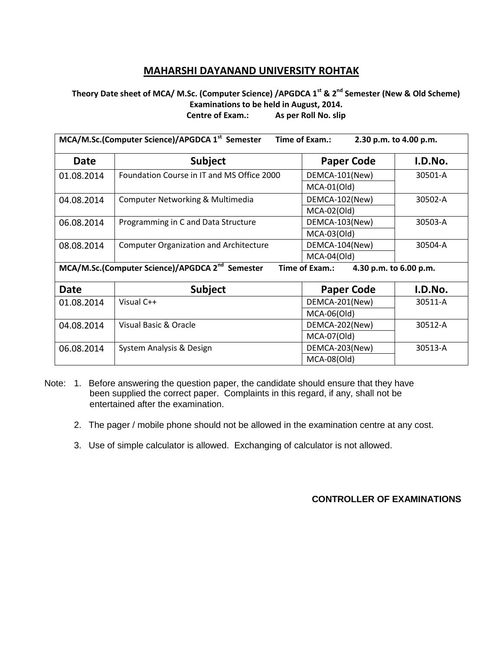## **MAHARSHI DAYANAND UNIVERSITY ROHTAK**

**Theory Date sheet of MCA/ M.Sc. (Computer Science) /APGDCA 1st & 2nd Semester (New & Old Scheme) Examinations to be held in August, 2014. Centre of Exam.: As per Roll No. slip**

| MCA/M.Sc.(Computer Science)/APGDCA 1 <sup>st</sup> Semester<br>Time of Exam.:<br>2.30 p.m. to 4.00 p.m. |                                               |                   |         |  |  |
|---------------------------------------------------------------------------------------------------------|-----------------------------------------------|-------------------|---------|--|--|
| <b>Date</b>                                                                                             | <b>Subject</b>                                | <b>Paper Code</b> | I.D.No. |  |  |
| 01.08.2014                                                                                              | Foundation Course in IT and MS Office 2000    | DEMCA-101(New)    | 30501-A |  |  |
|                                                                                                         |                                               | $MCA-01(Old)$     |         |  |  |
| 04.08.2014                                                                                              | Computer Networking & Multimedia              | DEMCA-102(New)    | 30502-A |  |  |
|                                                                                                         |                                               | $MCA-02(Old)$     |         |  |  |
| 06.08.2014                                                                                              | Programming in C and Data Structure           | DEMCA-103(New)    | 30503-A |  |  |
|                                                                                                         |                                               | $MCA-03(Old)$     |         |  |  |
| 08.08.2014                                                                                              | <b>Computer Organization and Architecture</b> | DEMCA-104(New)    | 30504-A |  |  |
|                                                                                                         |                                               | $MCA-04(Old)$     |         |  |  |
| MCA/M.Sc.(Computer Science)/APGDCA 2 <sup>nd</sup> Semester<br>Time of Exam.:<br>4.30 p.m. to 6.00 p.m. |                                               |                   |         |  |  |
| Date                                                                                                    | <b>Subject</b>                                | <b>Paper Code</b> | I.D.No. |  |  |
| 01.08.2014                                                                                              | Visual C++                                    | DEMCA-201(New)    | 30511-A |  |  |
|                                                                                                         |                                               | $MCA-06(Old)$     |         |  |  |
| 04.08.2014                                                                                              | Visual Basic & Oracle                         | DEMCA-202(New)    | 30512-A |  |  |
|                                                                                                         |                                               | $MCA-07(Old)$     |         |  |  |
| 06.08.2014                                                                                              | System Analysis & Design                      | DEMCA-203(New)    | 30513-A |  |  |
|                                                                                                         |                                               | $MCA-08(Old)$     |         |  |  |

Note: 1. Before answering the question paper, the candidate should ensure that they have been supplied the correct paper. Complaints in this regard, if any, shall not be entertained after the examination.

- 2. The pager / mobile phone should not be allowed in the examination centre at any cost.
- 3. Use of simple calculator is allowed. Exchanging of calculator is not allowed.

## **CONTROLLER OF EXAMINATIONS**